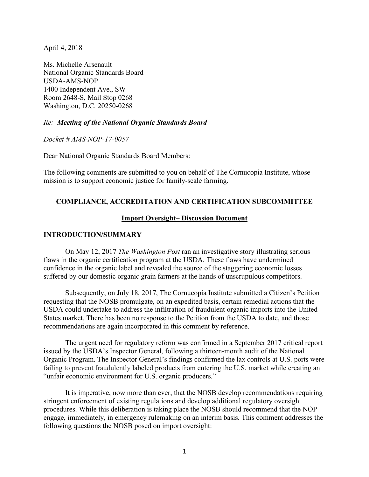April 4, 2018

Ms. Michelle Arsenault National Organic Standards Board USDA-AMS-NOP 1400 Independent Ave., SW Room 2648-S, Mail Stop 0268 Washington, D.C. 20250-0268

#### *Re: Meeting of the National Organic Standards Board*

*Docket # AMS-NOP-17-0057*

Dear National Organic Standards Board Members:

The following comments are submitted to you on behalf of The Cornucopia Institute, whose mission is to support economic justice for family-scale farming.

#### **COMPLIANCE, ACCREDITATION AND CERTIFICATION SUBCOMMITTEE**

#### **Import Oversight– Discussion Document**

#### **INTRODUCTION/SUMMARY**

On May 12, 2017 *The Washington Post* ran an investigative story illustrating serious flaws in the organic certification program at the USDA. These flaws have undermined confidence in the organic label and revealed the source of the staggering economic losses suffered by our domestic organic grain farmers at the hands of unscrupulous competitors.

Subsequently, on July 18, 2017, The Cornucopia Institute submitted a Citizen's Petition requesting that the NOSB promulgate, on an expedited basis, certain remedial actions that the USDA could undertake to address the infiltration of fraudulent organic imports into the United States market. There has been no response to the Petition from the USDA to date, and those recommendations are again incorporated in this comment by reference.

The urgent need for regulatory reform was confirmed in a September 2017 critical report issued by the USDA's Inspector General, following a thirteen-month audit of the National Organic Program. The Inspector General's findings confirmed the lax controls at U.S. ports were failing to prevent fraudulently labeled products from entering the U.S. market while creating an "unfair economic environment for U.S. organic producers."

It is imperative, now more than ever, that the NOSB develop recommendations requiring stringent enforcement of existing regulations and develop additional regulatory oversight procedures. While this deliberation is taking place the NOSB should recommend that the NOP engage, immediately, in emergency rulemaking on an interim basis. This comment addresses the following questions the NOSB posed on import oversight: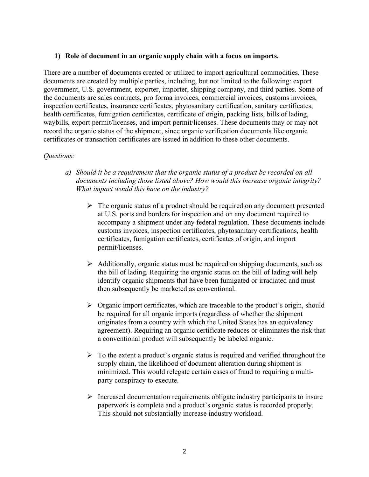#### **1) Role of document in an organic supply chain with a focus on imports.**

There are a number of documents created or utilized to import agricultural commodities. These documents are created by multiple parties, including, but not limited to the following: export government, U.S. government, exporter, importer, shipping company, and third parties. Some of the documents are sales contracts, pro forma invoices, commercial invoices, customs invoices, inspection certificates, insurance certificates, phytosanitary certification, sanitary certificates, health certificates, fumigation certificates, certificate of origin, packing lists, bills of lading, waybills, export permit/licenses, and import permit/licenses. These documents may or may not record the organic status of the shipment, since organic verification documents like organic certificates or transaction certificates are issued in addition to these other documents.

- *a) Should it be a requirement that the organic status of a product be recorded on all documents including those listed above? How would this increase organic integrity? What impact would this have on the industry?*
	- $\triangleright$  The organic status of a product should be required on any document presented at U.S. ports and borders for inspection and on any document required to accompany a shipment under any federal regulation. These documents include customs invoices, inspection certificates, phytosanitary certifications, health certificates, fumigation certificates, certificates of origin, and import permit/licenses.
	- $\triangleright$  Additionally, organic status must be required on shipping documents, such as the bill of lading. Requiring the organic status on the bill of lading will help identify organic shipments that have been fumigated or irradiated and must then subsequently be marketed as conventional.
	- $\triangleright$  Organic import certificates, which are traceable to the product's origin, should be required for all organic imports (regardless of whether the shipment originates from a country with which the United States has an equivalency agreement). Requiring an organic certificate reduces or eliminates the risk that a conventional product will subsequently be labeled organic.
	- $\triangleright$  To the extent a product's organic status is required and verified throughout the supply chain, the likelihood of document alteration during shipment is minimized. This would relegate certain cases of fraud to requiring a multiparty conspiracy to execute.
	- $\triangleright$  Increased documentation requirements obligate industry participants to insure paperwork is complete and a product's organic status is recorded properly. This should not substantially increase industry workload.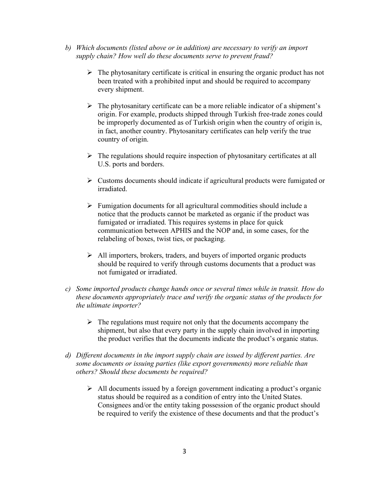- *b) Which documents (listed above or in addition) are necessary to verify an import supply chain? How well do these documents serve to prevent fraud?*
	- $\triangleright$  The phytosanitary certificate is critical in ensuring the organic product has not been treated with a prohibited input and should be required to accompany every shipment.
	- $\triangleright$  The phytosanitary certificate can be a more reliable indicator of a shipment's origin. For example, products shipped through Turkish free-trade zones could be improperly documented as of Turkish origin when the country of origin is, in fact, another country. Phytosanitary certificates can help verify the true country of origin.
	- $\triangleright$  The regulations should require inspection of phytosanitary certificates at all U.S. ports and borders.
	- $\triangleright$  Customs documents should indicate if agricultural products were fumigated or irradiated.
	- $\triangleright$  Fumigation documents for all agricultural commodities should include a notice that the products cannot be marketed as organic if the product was fumigated or irradiated. This requires systems in place for quick communication between APHIS and the NOP and, in some cases, for the relabeling of boxes, twist ties, or packaging.
	- $\triangleright$  All importers, brokers, traders, and buyers of imported organic products should be required to verify through customs documents that a product was not fumigated or irradiated.
- *c) Some imported products change hands once or several times while in transit. How do these documents appropriately trace and verify the organic status of the products for the ultimate importer?*
	- $\triangleright$  The regulations must require not only that the documents accompany the shipment, but also that every party in the supply chain involved in importing the product verifies that the documents indicate the product's organic status.
- *d) Different documents in the import supply chain are issued by different parties. Are some documents or issuing parties (like export governments) more reliable than others? Should these documents be required?* 
	- $\triangleright$  All documents issued by a foreign government indicating a product's organic status should be required as a condition of entry into the United States. Consignees and/or the entity taking possession of the organic product should be required to verify the existence of these documents and that the product's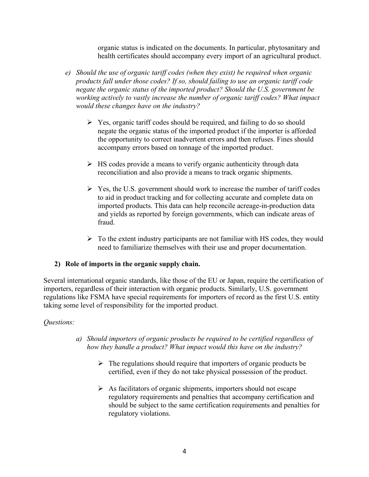organic status is indicated on the documents. In particular, phytosanitary and health certificates should accompany every import of an agricultural product.

- *e) Should the use of organic tariff codes (when they exist) be required when organic products fall under those codes? If so, should failing to use an organic tariff code negate the organic status of the imported product? Should the U.S. government be working actively to vastly increase the number of organic tariff codes? What impact would these changes have on the industry?*
	- $\triangleright$  Yes, organic tariff codes should be required, and failing to do so should negate the organic status of the imported product if the importer is afforded the opportunity to correct inadvertent errors and then refuses. Fines should accompany errors based on tonnage of the imported product.
	- $\triangleright$  HS codes provide a means to verify organic authenticity through data reconciliation and also provide a means to track organic shipments.
	- $\triangleright$  Yes, the U.S. government should work to increase the number of tariff codes to aid in product tracking and for collecting accurate and complete data on imported products. This data can help reconcile acreage-in-production data and yields as reported by foreign governments, which can indicate areas of fraud.
	- $\triangleright$  To the extent industry participants are not familiar with HS codes, they would need to familiarize themselves with their use and proper documentation.

## **2) Role of imports in the organic supply chain.**

Several international organic standards, like those of the EU or Japan, require the certification of importers, regardless of their interaction with organic products. Similarly, U.S. government regulations like FSMA have special requirements for importers of record as the first U.S. entity taking some level of responsibility for the imported product.

- *a) Should importers of organic products be required to be certified regardless of how they handle a product? What impact would this have on the industry?*
	- $\triangleright$  The regulations should require that importers of organic products be certified, even if they do not take physical possession of the product.
	- $\triangleright$  As facilitators of organic shipments, importers should not escape regulatory requirements and penalties that accompany certification and should be subject to the same certification requirements and penalties for regulatory violations.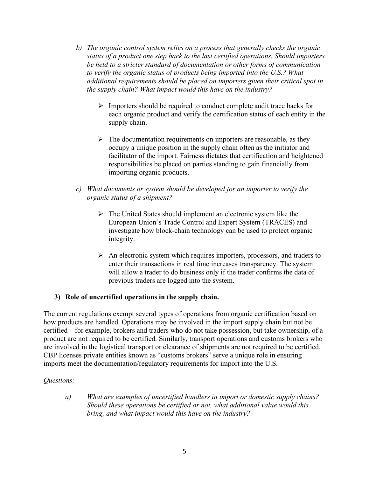- *b) The organic control system relies on a process that generally checks the organic status of a product one step back to the last certified operations. Should importers be held to a stricter standard of documentation or other forms of communication to verify the organic status of products being imported into the U.S.? What additional requirements should be placed on importers given their critical spot in the supply chain? What impact would this have on the industry?*
	- $\triangleright$  Importers should be required to conduct complete audit trace backs for each organic product and verify the certification status of each entity in the supply chain.
	- $\triangleright$  The documentation requirements on importers are reasonable, as they occupy a unique position in the supply chain often as the initiator and facilitator of the import. Fairness dictates that certification and heightened responsibilities be placed on parties standing to gain financially from importing organic products.
- *c) What documents or system should be developed for an importer to verify the organic status of a shipment?*
	- $\triangleright$  The United States should implement an electronic system like the European Union's Trade Control and Expert System (TRACES) and investigate how block-chain technology can be used to protect organic integrity.
	- $\triangleright$  An electronic system which requires importers, processors, and traders to enter their transactions in real time increases transparency. The system will allow a trader to do business only if the trader confirms the data of previous traders are logged into the system.

## **3) Role of uncertified operations in the supply chain.**

The current regulations exempt several types of operations from organic certification based on how products are handled. Operations may be involved in the import supply chain but not be certified—for example, brokers and traders who do not take possession, but take ownership, of a product are not required to be certified. Similarly, transport operations and customs brokers who are involved in the logistical transport or clearance of shipments are not required to be certified. CBP licenses private entities known as "customs brokers" serve a unique role in ensuring imports meet the documentation/regulatory requirements for import into the U.S.

## *Questions:*

*a) What are examples of uncertified handlers in import or domestic supply chains? Should these operations be certified or not, what additional value would this bring, and what impact would this have on the industry?*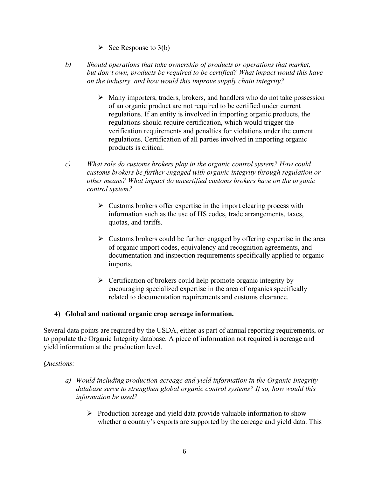- $\triangleright$  See Response to 3(b)
- *b) Should operations that take ownership of products or operations that market, but don't own, products be required to be certified? What impact would this have on the industry, and how would this improve supply chain integrity?*
	- $\triangleright$  Many importers, traders, brokers, and handlers who do not take possession of an organic product are not required to be certified under current regulations. If an entity is involved in importing organic products, the regulations should require certification, which would trigger the verification requirements and penalties for violations under the current regulations. Certification of all parties involved in importing organic products is critical.
- *c) What role do customs brokers play in the organic control system? How could customs brokers be further engaged with organic integrity through regulation or other means? What impact do uncertified customs brokers have on the organic control system?*
	- $\triangleright$  Customs brokers offer expertise in the import clearing process with information such as the use of HS codes, trade arrangements, taxes, quotas, and tariffs.
	- $\triangleright$  Customs brokers could be further engaged by offering expertise in the area of organic import codes, equivalency and recognition agreements, and documentation and inspection requirements specifically applied to organic imports.
	- $\triangleright$  Certification of brokers could help promote organic integrity by encouraging specialized expertise in the area of organics specifically related to documentation requirements and customs clearance.

## **4) Global and national organic crop acreage information.**

Several data points are required by the USDA, either as part of annual reporting requirements, or to populate the Organic Integrity database. A piece of information not required is acreage and yield information at the production level.

- *a) Would including production acreage and yield information in the Organic Integrity database serve to strengthen global organic control systems? If so, how would this information be used?* 
	- $\triangleright$  Production acreage and yield data provide valuable information to show whether a country's exports are supported by the acreage and yield data. This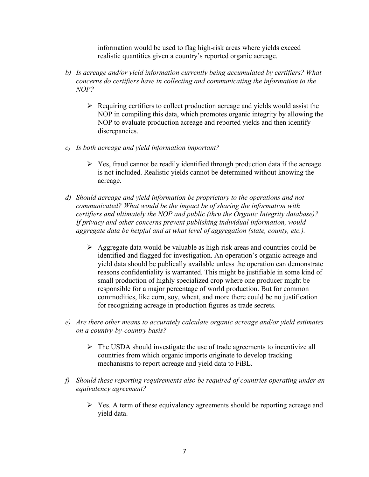information would be used to flag high-risk areas where yields exceed realistic quantities given a country's reported organic acreage.

- *b) Is acreage and/or yield information currently being accumulated by certifiers? What concerns do certifiers have in collecting and communicating the information to the NOP?*
	- $\triangleright$  Requiring certifiers to collect production acreage and yields would assist the NOP in compiling this data, which promotes organic integrity by allowing the NOP to evaluate production acreage and reported yields and then identify discrepancies.
- *c) Is both acreage and yield information important?*
	- $\triangleright$  Yes, fraud cannot be readily identified through production data if the acreage is not included. Realistic yields cannot be determined without knowing the acreage.
- *d) Should acreage and yield information be proprietary to the operations and not communicated? What would be the impact be of sharing the information with certifiers and ultimately the NOP and public (thru the Organic Integrity database)? If privacy and other concerns prevent publishing individual information, would aggregate data be helpful and at what level of aggregation (state, county, etc.).*
	- $\triangleright$  Aggregate data would be valuable as high-risk areas and countries could be identified and flagged for investigation. An operation's organic acreage and yield data should be publically available unless the operation can demonstrate reasons confidentiality is warranted. This might be justifiable in some kind of small production of highly specialized crop where one producer might be responsible for a major percentage of world production. But for common commodities, like corn, soy, wheat, and more there could be no justification for recognizing acreage in production figures as trade secrets.
- *e) Are there other means to accurately calculate organic acreage and/or yield estimates on a country-by-country basis?*
	- $\triangleright$  The USDA should investigate the use of trade agreements to incentivize all countries from which organic imports originate to develop tracking mechanisms to report acreage and yield data to FiBL.
- *f) Should these reporting requirements also be required of countries operating under an equivalency agreement?* 
	- $\triangleright$  Yes. A term of these equivalency agreements should be reporting acreage and yield data.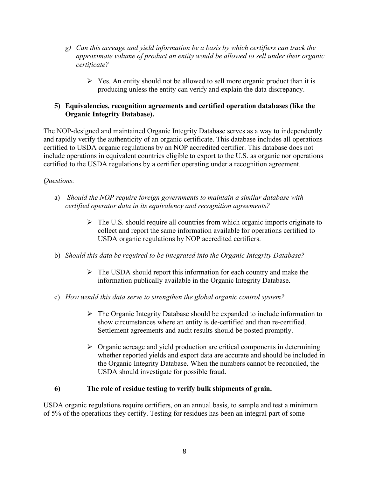- *g) Can this acreage and yield information be a basis by which certifiers can track the approximate volume of product an entity would be allowed to sell under their organic certificate?*
	- $\triangleright$  Yes. An entity should not be allowed to sell more organic product than it is producing unless the entity can verify and explain the data discrepancy.

# **5) Equivalencies, recognition agreements and certified operation databases (like the Organic Integrity Database).**

The NOP-designed and maintained Organic Integrity Database serves as a way to independently and rapidly verify the authenticity of an organic certificate. This database includes all operations certified to USDA organic regulations by an NOP accredited certifier. This database does not include operations in equivalent countries eligible to export to the U.S. as organic nor operations certified to the USDA regulations by a certifier operating under a recognition agreement.

# *Questions:*

- a) *Should the NOP require foreign governments to maintain a similar database with certified operator data in its equivalency and recognition agreements?*
	- $\triangleright$  The U.S. should require all countries from which organic imports originate to collect and report the same information available for operations certified to USDA organic regulations by NOP accredited certifiers.
- b) *Should this data be required to be integrated into the Organic Integrity Database?*
	- $\triangleright$  The USDA should report this information for each country and make the information publically available in the Organic Integrity Database.
- c) *How would this data serve to strengthen the global organic control system?* 
	- $\triangleright$  The Organic Integrity Database should be expanded to include information to show circumstances where an entity is de-certified and then re-certified. Settlement agreements and audit results should be posted promptly.
	- $\triangleright$  Organic acreage and yield production are critical components in determining whether reported yields and export data are accurate and should be included in the Organic Integrity Database. When the numbers cannot be reconciled, the USDA should investigate for possible fraud.

## **6) The role of residue testing to verify bulk shipments of grain.**

USDA organic regulations require certifiers, on an annual basis, to sample and test a minimum of 5% of the operations they certify. Testing for residues has been an integral part of some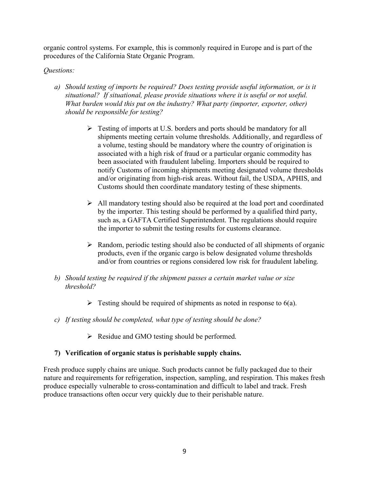organic control systems. For example, this is commonly required in Europe and is part of the procedures of the California State Organic Program.

# *Questions:*

- *a) Should testing of imports be required? Does testing provide useful information, or is it situational? If situational, please provide situations where it is useful or not useful. What burden would this put on the industry? What party (importer, exporter, other) should be responsible for testing?*
	- $\triangleright$  Testing of imports at U.S. borders and ports should be mandatory for all shipments meeting certain volume thresholds. Additionally, and regardless of a volume, testing should be mandatory where the country of origination is associated with a high risk of fraud or a particular organic commodity has been associated with fraudulent labeling. Importers should be required to notify Customs of incoming shipments meeting designated volume thresholds and/or originating from high-risk areas. Without fail, the USDA, APHIS, and Customs should then coordinate mandatory testing of these shipments.
	- $\triangleright$  All mandatory testing should also be required at the load port and coordinated by the importer. This testing should be performed by a qualified third party, such as, a GAFTA Certified Superintendent. The regulations should require the importer to submit the testing results for customs clearance.
	- $\triangleright$  Random, periodic testing should also be conducted of all shipments of organic products, even if the organic cargo is below designated volume thresholds and/or from countries or regions considered low risk for fraudulent labeling.
- *b) Should testing be required if the shipment passes a certain market value or size threshold?*
	- $\triangleright$  Testing should be required of shipments as noted in response to 6(a).
- *c) If testing should be completed, what type of testing should be done?* 
	- $\triangleright$  Residue and GMO testing should be performed.

## **7) Verification of organic status is perishable supply chains.**

Fresh produce supply chains are unique. Such products cannot be fully packaged due to their nature and requirements for refrigeration, inspection, sampling, and respiration. This makes fresh produce especially vulnerable to cross-contamination and difficult to label and track. Fresh produce transactions often occur very quickly due to their perishable nature.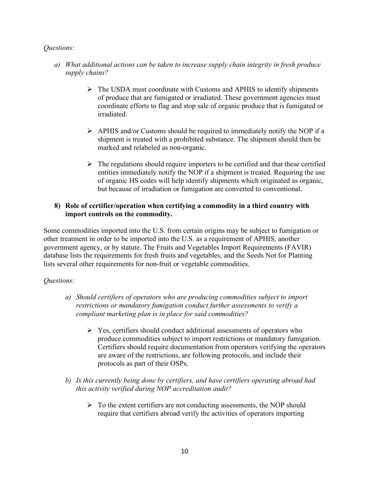# *Questions:*

- *a) What additional actions can be taken to increase supply chain integrity in fresh produce supply chains?*
	- $\triangleright$  The USDA must coordinate with Customs and APHIS to identify shipments of produce that are fumigated or irradiated. These government agencies must coordinate efforts to flag and stop sale of organic produce that is fumigated or irradiated.
	- $\triangleright$  APHIS and/or Customs should be required to immediately notify the NOP if a shipment is treated with a prohibited substance. The shipment should then be marked and relabeled as non-organic.
	- $\triangleright$  The regulations should require importers to be certified and that these certified entities immediately notify the NOP if a shipment is treated. Requiring the use of organic HS codes will help identify shipments which originated as organic, but because of irradiation or fumigation are converted to conventional.

# **8) Role of certifier/operation when certifying a commodity in a third country with import controls on the commodity.**

Some commodities imported into the U.S. from certain origins may be subject to fumigation or other treatment in order to be imported into the U.S. as a requirement of APHIS, another government agency, or by statute. The Fruits and Vegetables Import Requirements (FAVIR) database lists the requirements for fresh fruits and vegetables, and the Seeds Not for Planting lists several other requirements for non-fruit or vegetable commodities.

- *a) Should certifiers of operators who are producing commodities subject to import restrictions or mandatory fumigation conduct further assessments to verify a compliant marketing plan is in place for said commodities?*
	- $\triangleright$  Yes, certifiers should conduct additional assessments of operators who produce commodities subject to import restrictions or mandatory fumigation. Certifiers should require documentation from operators verifying the operators are aware of the restrictions, are following protocols, and include their protocols as part of their OSPs.
- *b) Is this currently being done by certifiers, and have certifiers operating abroad had this activity verified during NOP accreditation audit?*
	- $\triangleright$  To the extent certifiers are not conducting assessments, the NOP should require that certifiers abroad verify the activities of operators importing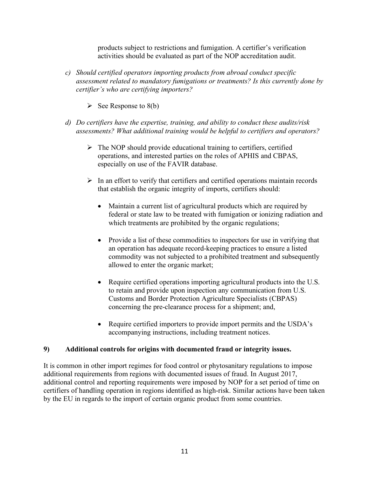products subject to restrictions and fumigation. A certifier's verification activities should be evaluated as part of the NOP accreditation audit.

- *c) Should certified operators importing products from abroad conduct specific assessment related to mandatory fumigations or treatments? Is this currently done by certifier's who are certifying importers?*
	- $\triangleright$  See Response to 8(b)
- *d) Do certifiers have the expertise, training, and ability to conduct these audits/risk assessments? What additional training would be helpful to certifiers and operators?*
	- $\triangleright$  The NOP should provide educational training to certifiers, certified operations, and interested parties on the roles of APHIS and CBPAS, especially on use of the FAVIR database.
	- $\triangleright$  In an effort to verify that certifiers and certified operations maintain records that establish the organic integrity of imports, certifiers should:
		- Maintain a current list of agricultural products which are required by federal or state law to be treated with fumigation or ionizing radiation and which treatments are prohibited by the organic regulations;
		- Provide a list of these commodities to inspectors for use in verifying that an operation has adequate record-keeping practices to ensure a listed commodity was not subjected to a prohibited treatment and subsequently allowed to enter the organic market;
		- Require certified operations importing agricultural products into the U.S. to retain and provide upon inspection any communication from U.S. Customs and Border Protection Agriculture Specialists (CBPAS) concerning the pre-clearance process for a shipment; and,
		- Require certified importers to provide import permits and the USDA's accompanying instructions, including treatment notices.

## **9) Additional controls for origins with documented fraud or integrity issues.**

It is common in other import regimes for food control or phytosanitary regulations to impose additional requirements from regions with documented issues of fraud. In August 2017, additional control and reporting requirements were imposed by NOP for a set period of time on certifiers of handling operation in regions identified as high-risk. Similar actions have been taken by the EU in regards to the import of certain organic product from some countries.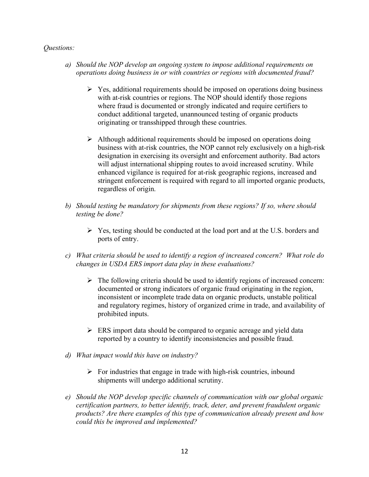- *a) Should the NOP develop an ongoing system to impose additional requirements on operations doing business in or with countries or regions with documented fraud?*
	- $\triangleright$  Yes, additional requirements should be imposed on operations doing business with at-risk countries or regions. The NOP should identify those regions where fraud is documented or strongly indicated and require certifiers to conduct additional targeted, unannounced testing of organic products originating or transshipped through these countries.
	- $\triangleright$  Although additional requirements should be imposed on operations doing business with at-risk countries, the NOP cannot rely exclusively on a high-risk designation in exercising its oversight and enforcement authority. Bad actors will adjust international shipping routes to avoid increased scrutiny. While enhanced vigilance is required for at-risk geographic regions, increased and stringent enforcement is required with regard to all imported organic products, regardless of origin.
- *b) Should testing be mandatory for shipments from these regions? If so, where should testing be done?*
	- $\triangleright$  Yes, testing should be conducted at the load port and at the U.S. borders and ports of entry.
- *c) What criteria should be used to identify a region of increased concern? What role do changes in USDA ERS import data play in these evaluations?*
	- $\triangleright$  The following criteria should be used to identify regions of increased concern: documented or strong indicators of organic fraud originating in the region, inconsistent or incomplete trade data on organic products, unstable political and regulatory regimes, history of organized crime in trade, and availability of prohibited inputs.
	- $\triangleright$  ERS import data should be compared to organic acreage and yield data reported by a country to identify inconsistencies and possible fraud.
- *d) What impact would this have on industry?*
	- $\triangleright$  For industries that engage in trade with high-risk countries, inbound shipments will undergo additional scrutiny.
- *e) Should the NOP develop specific channels of communication with our global organic certification partners, to better identify, track, deter, and prevent fraudulent organic products? Are there examples of this type of communication already present and how could this be improved and implemented?*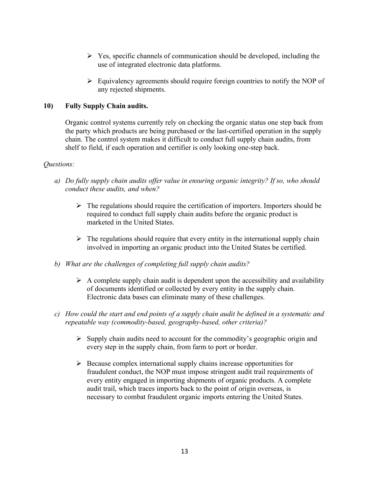- $\triangleright$  Yes, specific channels of communication should be developed, including the use of integrated electronic data platforms.
- $\triangleright$  Equivalency agreements should require foreign countries to notify the NOP of any rejected shipments.

# **10) Fully Supply Chain audits.**

Organic control systems currently rely on checking the organic status one step back from the party which products are being purchased or the last-certified operation in the supply chain. The control system makes it difficult to conduct full supply chain audits, from shelf to field, if each operation and certifier is only looking one-step back.

- *a) Do fully supply chain audits offer value in ensuring organic integrity? If so, who should conduct these audits, and when?*
	- $\triangleright$  The regulations should require the certification of importers. Importers should be required to conduct full supply chain audits before the organic product is marketed in the United States.
	- $\triangleright$  The regulations should require that every entity in the international supply chain involved in importing an organic product into the United States be certified.
- *b) What are the challenges of completing full supply chain audits?*
	- $\triangleright$  A complete supply chain audit is dependent upon the accessibility and availability of documents identified or collected by every entity in the supply chain. Electronic data bases can eliminate many of these challenges.
- *c) How could the start and end points of a supply chain audit be defined in a systematic and repeatable way (commodity-based, geography-based, other criteria)?*
	- $\triangleright$  Supply chain audits need to account for the commodity's geographic origin and every step in the supply chain, from farm to port or border.
	- $\triangleright$  Because complex international supply chains increase opportunities for fraudulent conduct, the NOP must impose stringent audit trail requirements of every entity engaged in importing shipments of organic products. A complete audit trail, which traces imports back to the point of origin overseas, is necessary to combat fraudulent organic imports entering the United States.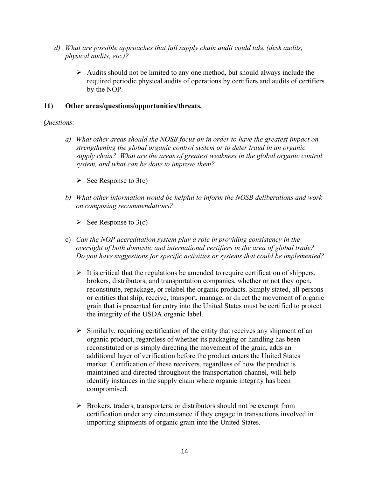- *d) What are possible approaches that full supply chain audit could take (desk audits, physical audits, etc.)?*
	- $\triangleright$  Audits should not be limited to any one method, but should always include the required periodic physical audits of operations by certifiers and audits of certifiers by the NOP.

#### **11) Other areas/questions/opportunities/threats.**

- *a) What other areas should the NOSB focus on in order to have the greatest impact on strengthening the global organic control system or to deter fraud in an organic supply chain? What are the areas of greatest weakness in the global organic control system, and what can be done to improve them?*
	- $\triangleright$  See Response to 3(c)
- *b) What other information would be helpful to inform the NOSB deliberations and work on composing recommendations?*
	- $\triangleright$  See Response to 3(c)
- c) *Can the NOP accreditation system play a role in providing consistency in the oversight of both domestic and international certifiers in the area of global trade? Do you have suggestions for specific activities or systems that could be implemented?*
	- $\triangleright$  It is critical that the regulations be amended to require certification of shippers, brokers, distributors, and transportation companies, whether or not they open, reconstitute, repackage, or relabel the organic products. Simply stated, all persons or entities that ship, receive, transport, manage, or direct the movement of organic grain that is presented for entry into the United States must be certified to protect the integrity of the USDA organic label.
	- $\triangleright$  Similarly, requiring certification of the entity that receives any shipment of an organic product, regardless of whether its packaging or handling has been reconstituted or is simply directing the movement of the grain, adds an additional layer of verification before the product enters the United States market. Certification of these receivers, regardless of how the product is maintained and directed throughout the transportation channel, will help identify instances in the supply chain where organic integrity has been compromised.
	- $\triangleright$  Brokers, traders, transporters, or distributors should not be exempt from certification under any circumstance if they engage in transactions involved in importing shipments of organic grain into the United States.